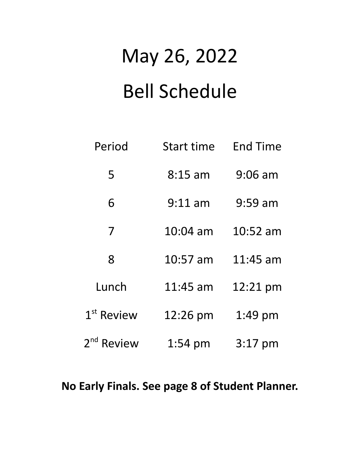## May 26, 2022 Bell Schedule

| Period                 | <b>Start time</b> | <b>End Time</b> |
|------------------------|-------------------|-----------------|
| 5                      | $8:15$ am         | $9:06$ am       |
| 6                      | $9:11$ am         | $9:59$ am       |
| 7                      | 10:04 am          | 10:52 am        |
| 8                      | 10:57 am          | $11:45$ am      |
| Lunch                  | $11:45$ am        | 12:21 pm        |
| $1st$ Review           | 12:26 pm          | 1:49 pm         |
| 2 <sup>nd</sup> Review | $1:54 \text{ pm}$ | $3:17$ pm       |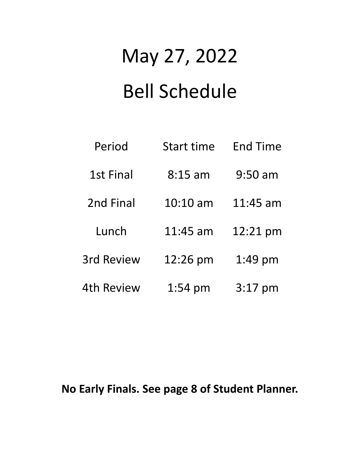## May 27, 2022 Bell Schedule

| Period            | <b>Start time</b> | <b>End Time</b> |
|-------------------|-------------------|-----------------|
| 1st Final         | $8:15$ am         | $9:50$ am       |
| 2nd Final         | $10:10$ am        | $11:45$ am      |
| Lunch             | 11:45 am          | 12:21 pm        |
| <b>3rd Review</b> | 12:26 pm          | 1:49 pm         |
| 4th Review        | $1:54 \text{ pm}$ | $3:17$ pm       |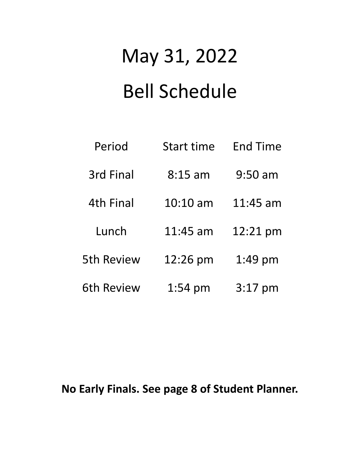# May 31, 2022 Bell Schedule

| Period            | <b>Start time</b> | <b>End Time</b> |
|-------------------|-------------------|-----------------|
| 3rd Final         | $8:15$ am         | $9:50$ am       |
| <b>4th Final</b>  | $10:10$ am        | $11:45$ am      |
| Lunch             | 11:45 am          | 12:21 pm        |
| <b>5th Review</b> | 12:26 pm          | 1:49 pm         |
| <b>6th Review</b> | $1:54 \text{ pm}$ | $3:17$ pm       |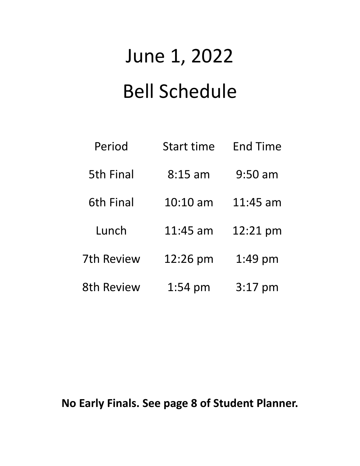## June 1, 2022 Bell Schedule

| Period            | <b>Start time</b>  | <b>End Time</b> |
|-------------------|--------------------|-----------------|
| <b>5th Final</b>  | $8:15$ am          | $9:50$ am       |
| <b>6th Final</b>  | $10:10 \text{ am}$ | 11:45 am        |
| Lunch             | 11:45 am           | 12:21 pm        |
| 7th Review        | 12:26 pm           | 1:49 pm         |
| <b>8th Review</b> | $1:54 \text{ pm}$  | $3:17$ pm       |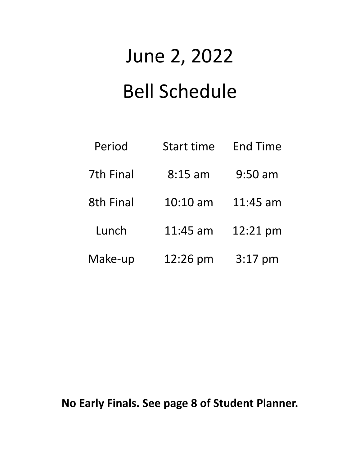## June 2, 2022 Bell Schedule

| Period           | <b>Start time</b>  | <b>End Time</b> |
|------------------|--------------------|-----------------|
| <b>7th Final</b> | $8:15$ am          | $9:50$ am       |
| <b>8th Final</b> | $10:10 \text{ am}$ | $11:45$ am      |
| Lunch            | 11:45 am           | 12:21 pm        |
| Make-up          | 12:26 pm           | $3:17$ pm       |